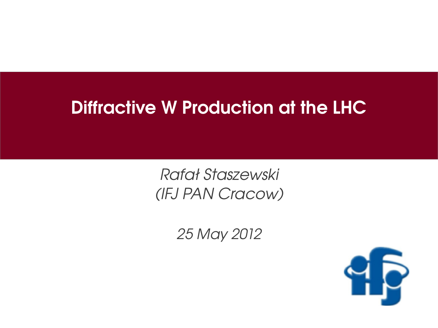#### Diffractive W Production at the LHC

Rafał Staszewski (IFJ PAN Cracow)

25 May 2012

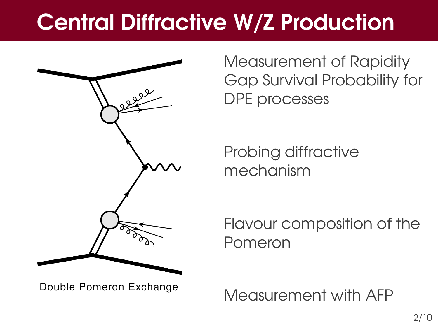# Central Diffractive W/Z Production



Double Pomeron Exchange

Measurement of Rapidity Gap Survival Probability for DPE processes

Probing diffractive mechanism

Flavour composition of the Pomeron

Measurement with AFP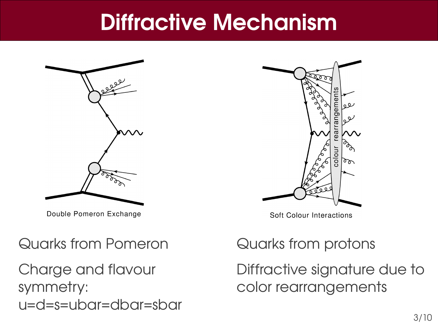#### Diffractive Mechanism



Double Pomeron Exchange

# ফ্রুচ rearrangement عوه uoloc  $\sigma$

**Soft Colour Interactions** 

#### Quarks from Pomeron

Charge and flavour symmetry: u=d=s=ubar=dbar=sbar

#### Quarks from protons

Diffractive signature due to color rearrangements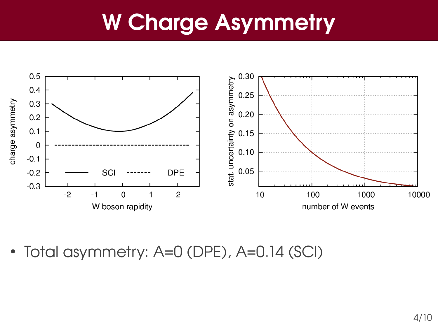### W Charge Asymmetry



• Total asymmetry: A=0 (DPE), A=0.14 (SCI)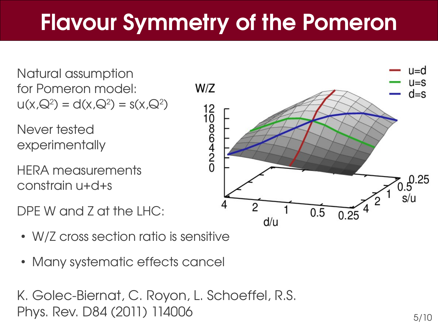# Flavour Symmetry of the Pomeron

Natural assumption for Pomeron model:  $u(x,Q^2) = d(x,Q^2) = s(x,Q^2)$ 

Never tested experimentally

HERA measurements constrain u+d+s

DPE W and Z at the LHC:

- W/Z cross section ratio is sensitive
- Many systematic effects cancel

K. Golec-Biernat, C. Royon, L. Schoeffel, R.S. Phys. Rev. D84 (2011) 114006

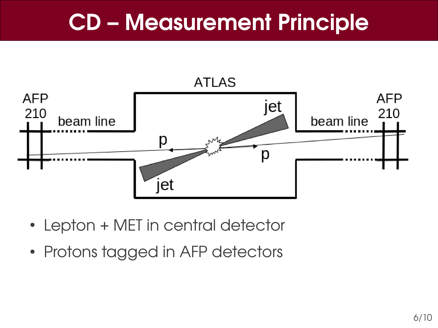### CD – Measurement Principle



- Lepton + MET in central detector
- Protons tagged in AFP detectors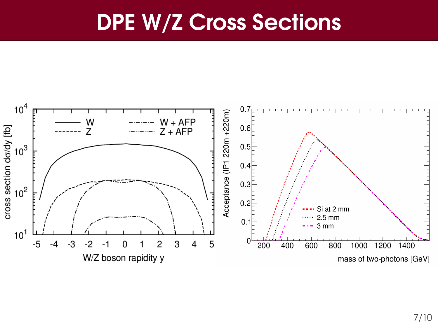#### DPE W/Z Cross Sections

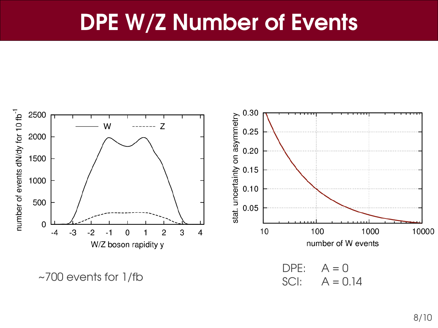#### DPE W/Z Number of Events

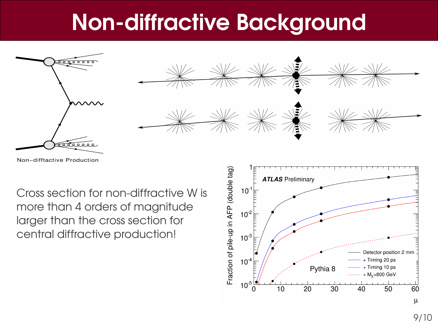### **Non-diffractive Background**



Non-difftactive Production

Cross section for non-diffractive W is more than 4 orders of magnitude larger than the cross section for central diffractive production!